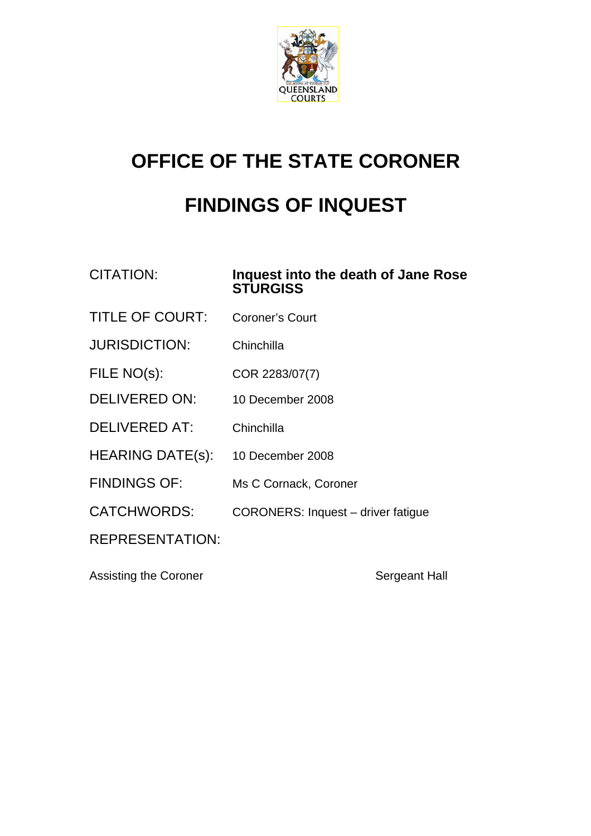

## **OFFICE OF THE STATE CORONER**

## **FINDINGS OF INQUEST**

## CITATION: **Inquest into the death of Jane Rose STURGISS**

- TITLE OF COURT: Coroner's Court
- JURISDICTION: Chinchilla
- FILE NO(s): COR 2283/07(7)
- DELIVERED ON: 10 December 2008
- DELIVERED AT: Chinchilla
- HEARING DATE(s): 10 December 2008
- FINDINGS OF: Ms C Cornack, Coroner
- CATCHWORDS: CORONERS: Inquest driver fatigue

REPRESENTATION:

Assisting the Coroner **Sergeant Hall**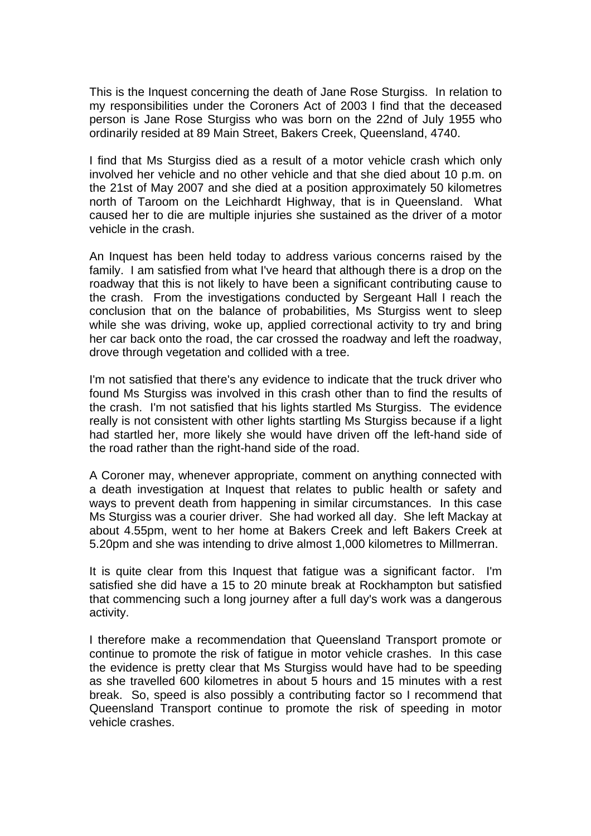This is the Inquest concerning the death of Jane Rose Sturgiss. In relation to my responsibilities under the Coroners Act of 2003 I find that the deceased person is Jane Rose Sturgiss who was born on the 22nd of July 1955 who ordinarily resided at 89 Main Street, Bakers Creek, Queensland, 4740.

I find that Ms Sturgiss died as a result of a motor vehicle crash which only involved her vehicle and no other vehicle and that she died about 10 p.m. on the 21st of May 2007 and she died at a position approximately 50 kilometres north of Taroom on the Leichhardt Highway, that is in Queensland. What caused her to die are multiple injuries she sustained as the driver of a motor vehicle in the crash.

An Inquest has been held today to address various concerns raised by the family. I am satisfied from what I've heard that although there is a drop on the roadway that this is not likely to have been a significant contributing cause to the crash. From the investigations conducted by Sergeant Hall I reach the conclusion that on the balance of probabilities, Ms Sturgiss went to sleep while she was driving, woke up, applied correctional activity to try and bring her car back onto the road, the car crossed the roadway and left the roadway, drove through vegetation and collided with a tree.

I'm not satisfied that there's any evidence to indicate that the truck driver who found Ms Sturgiss was involved in this crash other than to find the results of the crash. I'm not satisfied that his lights startled Ms Sturgiss. The evidence really is not consistent with other lights startling Ms Sturgiss because if a light had startled her, more likely she would have driven off the left-hand side of the road rather than the right-hand side of the road.

A Coroner may, whenever appropriate, comment on anything connected with a death investigation at Inquest that relates to public health or safety and ways to prevent death from happening in similar circumstances. In this case Ms Sturgiss was a courier driver. She had worked all day. She left Mackay at about 4.55pm, went to her home at Bakers Creek and left Bakers Creek at 5.20pm and she was intending to drive almost 1,000 kilometres to Millmerran.

It is quite clear from this Inquest that fatigue was a significant factor. I'm satisfied she did have a 15 to 20 minute break at Rockhampton but satisfied that commencing such a long journey after a full day's work was a dangerous activity.

I therefore make a recommendation that Queensland Transport promote or continue to promote the risk of fatigue in motor vehicle crashes. In this case the evidence is pretty clear that Ms Sturgiss would have had to be speeding as she travelled 600 kilometres in about 5 hours and 15 minutes with a rest break. So, speed is also possibly a contributing factor so I recommend that Queensland Transport continue to promote the risk of speeding in motor vehicle crashes.